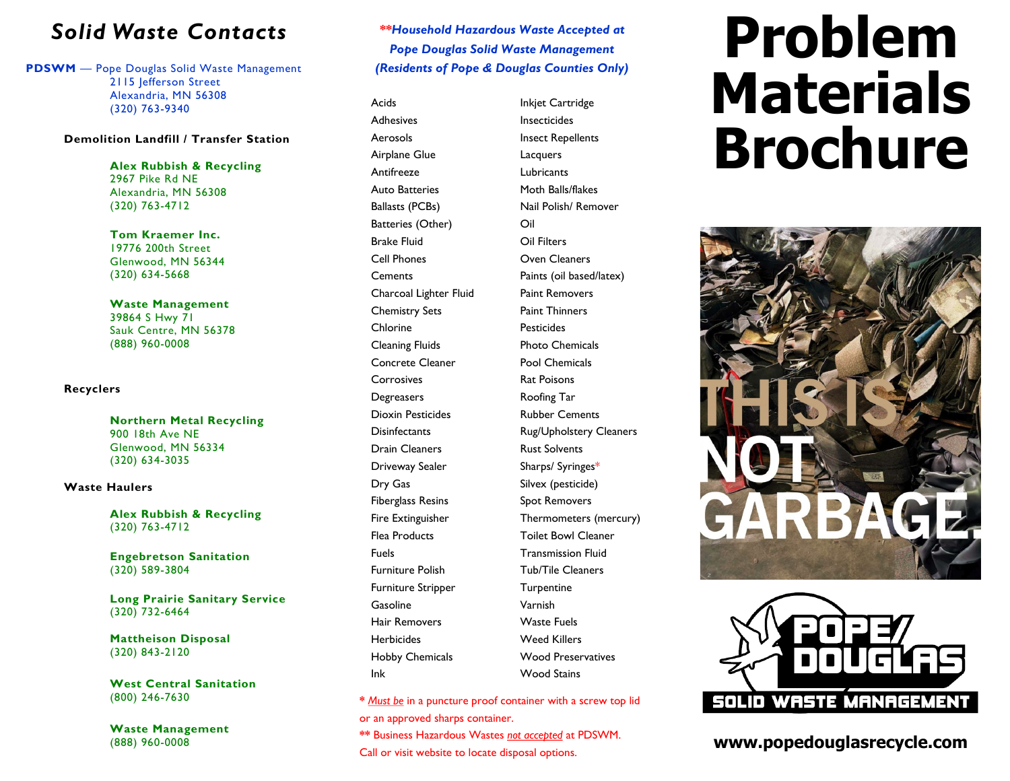# *Solid Waste Contacts*

 **PDSWM** — Pope Douglas Solid Waste Management 2115 Jefferson Street Alexandria, MN 56308 (320) 763-9340

#### **Demolition Landfill / Transfer Station**

**Alex Rubbish & Recycling**  2967 Pike Rd NE Alexandria, MN 56308 (320) 763-4712

**Tom Kraemer Inc.** 19776 200th Street Glenwood, MN 56344 (320) 634-5668

**Waste Management** 39864 S Hwy 71 Sauk Centre, MN 56378 (888) 960-0008

#### **Recyclers**

**Northern Metal Recycling** 900 18th Ave NE Glenwood, MN 56334 (320) 634-3035

#### **Waste Haulers**

**Alex Rubbish & Recycling** (320) 763-4712

**Engebretson Sanitation** (320) 589-3804

**Long Prairie Sanitary Service** (320) 732-6464

**Mattheison Disposal** (320) 843-2120

**West Central Sanitation** (800) 246-7630

**Waste Management** (888) 960-0008

*\*\*Household Hazardous Waste Accepted at Pope Douglas Solid Waste Management (Residents of Pope & Douglas Counties Only)*

Acids Adhesives Aerosols Airplane Glue Antifreeze Auto Batteries Ballasts (PCBs) Batteries (Other) Brake Fluid Cell Phones **Cements** Charcoal Lighter Fluid Chemistry Sets **Chlorine** Cleaning Fluids Concrete Cleaner **Corrosives Degreasers** Dioxin Pesticides **Disinfectants** Drain Cleaners Driveway Sealer Dry Gas Fiberglass Resins Fire Extinguisher Flea Products Fuels Furniture Polish Furniture Stripper Gasoline Hair Removers **Herbicides** Hobby Chemicals Ink

Inkjet Cartridge Insecticides Insect Repellents **Lacquers** Lubricants Moth Balls/flakes Nail Polish/ Remover Oil Oil Filters Oven Cleaners Paints (oil based/latex) Paint Removers Paint Thinners Pesticides Photo Chemicals Pool Chemicals Rat Poisons Roofing Tar Rubber Cements Rug/Upholstery Cleaners Rust Solvents Sharps/ Syringes\* Silvex (pesticide) Spot Removers Thermometers (mercury) Toilet Bowl Cleaner Transmission Fluid Tub/Tile Cleaners **Turpentine** Varnish Waste Fuels Weed Killers Wood Preservatives Wood Stains

**\*** *Must be* in a puncture proof container with a screw top lid or an approved sharps container.

**\*\*** Business Hazardous Wastes *not accepted* at PDSWM. Call or visit website to locate disposal options.

# **Problem Materials Brochure**





**www.popedouglasrecycle.com**